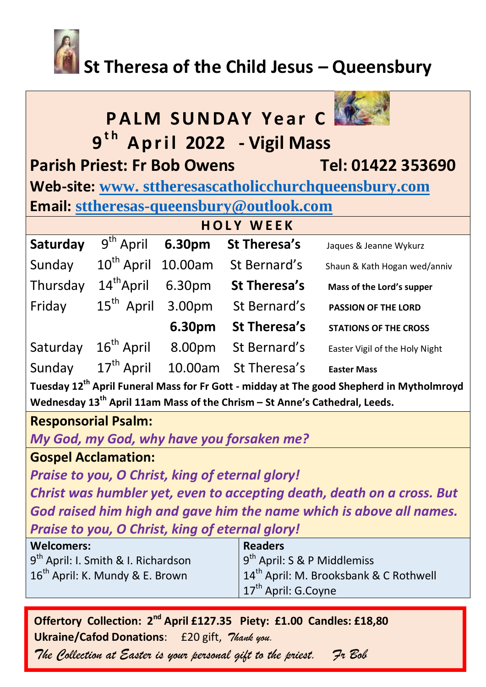# **St Theresa of the Child Jesus – Queensbury**

| <b>PALM SUNDAY Year C.</b><br>9 <sup>th</sup> April 2022 - Vigil Mass                                |                        |        |                      |                                |  |
|------------------------------------------------------------------------------------------------------|------------------------|--------|----------------------|--------------------------------|--|
| <b>Parish Priest: Fr Bob Owens</b>                                                                   |                        |        |                      | Tel: 01422 353690              |  |
| Web-site: www.sttheresascatholicchurchqueensbury.com                                                 |                        |        |                      |                                |  |
| Email: sttheresas-queensbury@outlook.com                                                             |                        |        |                      |                                |  |
| <b>HOLY WEEK</b>                                                                                     |                        |        |                      |                                |  |
| Saturday                                                                                             | $9th$ April            | 6.30pm | St Theresa's         | Jaques & Jeanne Wykurz         |  |
| Sunday                                                                                               | 10 <sup>th</sup> April |        | 10.00am St Bernard's | Shaun & Kath Hogan wed/anniv   |  |
| Thursday                                                                                             | 14 <sup>th</sup> April |        | 6.30pm St Theresa's  | Mass of the Lord's supper      |  |
| Friday                                                                                               | 15 <sup>th</sup> April |        | 3.00pm St Bernard's  | <b>PASSION OF THE LORD</b>     |  |
|                                                                                                      |                        | 6.30pm | <b>St Theresa's</b>  | <b>STATIONS OF THE CROSS</b>   |  |
| Saturday                                                                                             | $16th$ April           | 8.00pm | St Bernard's         | Easter Vigil of the Holy Night |  |
| Sunday                                                                                               | $17^{\text{th}}$ April |        | 10.00am St Theresa's | <b>Easter Mass</b>             |  |
| Tuesday 12 <sup>th</sup> April Funeral Mass for Fr Gott - midday at The good Shepherd in Mytholmroyd |                        |        |                      |                                |  |
| Wednesday $13th$ April 11am Mass of the Chrism – St Anne's Cathedral, Leeds.                         |                        |        |                      |                                |  |
| <b>Responsorial Psalm:</b>                                                                           |                        |        |                      |                                |  |
| My God, my God, why have you forsaken me?                                                            |                        |        |                      |                                |  |

**Gospel Acclamation:**

*Praise to you, O Christ, king of eternal glory!*

*Christ was humbler yet, even to accepting death, death on a cross. But God raised him high and gave him the name which is above all names. Praise to you, O Christ, king of eternal glory!*

| <b>Welcomers:</b>                               | <b>Readers</b>                                     |
|-------------------------------------------------|----------------------------------------------------|
| 9 <sup>th</sup> April: I. Smith & I. Richardson | $9^{th}$ April: S & P Middlemiss                   |
| 16 <sup>th</sup> April: K. Mundy & E. Brown     | 14 <sup>th</sup> April: M. Brooksbank & C Rothwell |
|                                                 | $17th$ April: G.Coyne                              |

**Offertory Collection: 2nd April £127.35 Piety: £1.00 Candles: £18,80 Ukraine/Cafod Donations**: £20 gift, *Thank you.* 

*The Collection at Easter is your personal gift to the priest. Fr Bob*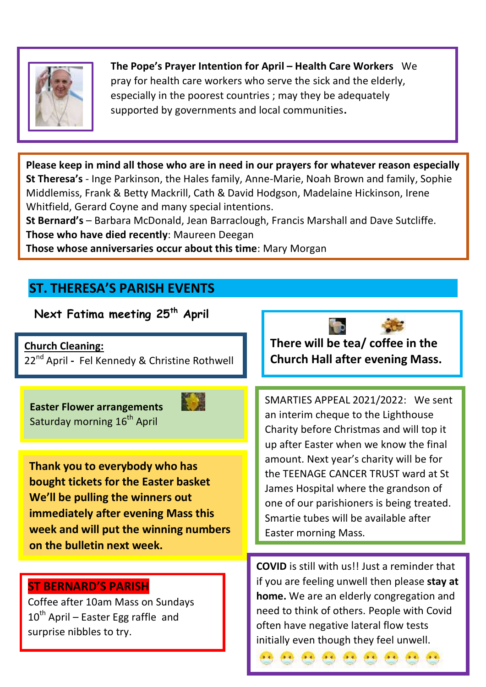

**The Pope's Prayer Intention for April – Health Care Workers** We pray for health care workers who serve the sick and the elderly, especially in the poorest countries ; may they be adequately supported by governments and local communities**.**

**Please keep in mind all those who are in need in our prayers for whatever reason especially St Theresa's** - Inge Parkinson, the Hales family, Anne-Marie, Noah Brown and family, Sophie Middlemiss, Frank & Betty Mackrill, Cath & David Hodgson, Madelaine Hickinson, Irene Whitfield, Gerard Coyne and many special intentions.

**St Bernard's** – Barbara McDonald, Jean Barraclough, Francis Marshall and Dave Sutcliffe. **Those who have died recently**: Maureen Deegan

**Those whose anniversaries occur about this time**: Mary Morgan

#### **ST. THERESA'S PARISH EVENTS**

**Next Fatima meeting 25th April**

**Church Cleaning:** 

22nd April **-** Fel Kennedy & Christine Rothwell

**Easter Flower arrangements**  Saturday morning 16<sup>th</sup> April



**Thank you to everybody who has bought tickets for the Easter basket We'll be pulling the winners out immediately after evening Mass this week and will put the winning numbers on the bulletin next week.** 

#### **ST BERNARD'S PARISH**

Coffee after 10am Mass on Sundays 10<sup>th</sup> April – Easter Egg raffle and surprise nibbles to try.

**There will be tea/ coffee in the Church Hall after evening Mass.** 

SMARTIES APPEAL 2021/2022: We sent an interim cheque to the Lighthouse Charity before Christmas and will top it up after Easter when we know the final amount. Next year's charity will be for the TEENAGE CANCER TRUST ward at St James Hospital where the grandson of one of our parishioners is being treated. Smartie tubes will be available after Easter morning Mass.

**COVID** is still with us!! Just a reminder that if you are feeling unwell then please **stay at home.** We are an elderly congregation and need to think of others. People with Covid often have negative lateral flow tests initially even though they feel unwell.

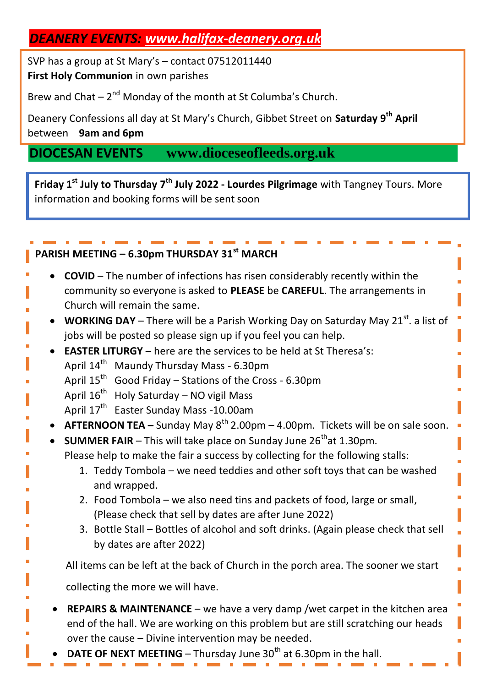#### *DEANERY EVENTS: [www.halifax-deanery.org.uk](http://www.halifax-deanery.org.uk/)*

SVP has a group at St Mary's – contact 07512011440 **First Holy Communion** in own parishes

Brew and Chat  $-2<sup>nd</sup>$  Monday of the month at St Columba's Church.

Deanery Confessions all day at St Mary's Church, Gibbet Street on **Saturday 9th April** between **9am and 6pm** 

### **DIOCESAN EVENTS www.dioceseofleeds.org.uk**

**Friday 1st July to Thursday 7th July 2022 - Lourdes Pilgrimage** with Tangney Tours. More information and booking forms will be sent soon

#### **PARISH MEETING – 6.30pm THURSDAY 31st MARCH**

- **COVID** The number of infections has risen considerably recently within the community so everyone is asked to **PLEASE** be **CAREFUL**. The arrangements in Church will remain the same.
- **WORKING DAY** There will be a Parish Working Day on Saturday May 21<sup>st</sup>. a list of jobs will be posted so please sign up if you feel you can help.
- **EASTER LITURGY** here are the services to be held at St Theresa's:
- April 14<sup>th</sup> Maundy Thursday Mass 6.30pm
- April  $15^{th}$  Good Friday Stations of the Cross 6.30pm
	- April 16<sup>th</sup> Holy Saturday NO vigil Mass
		- April 17<sup>th</sup> Easter Sunday Mass -10.00am
- **AFTERNOON TEA** Sunday May 8<sup>th</sup> 2.00pm 4.00pm. Tickets will be on sale soon.
- **SUMMER FAIR** This will take place on Sunday June  $26<sup>th</sup>$ at 1.30pm. Please help to make the fair a success by collecting for the following stalls:
	- 1. Teddy Tombola we need teddies and other soft toys that can be washed and wrapped.
	- 2. Food Tombola we also need tins and packets of food, large or small, (Please check that sell by dates are after June 2022)
	- 3. Bottle Stall Bottles of alcohol and soft drinks. (Again please check that sell by dates are after 2022)

All items can be left at the back of Church in the porch area. The sooner we start

collecting the more we will have.

- **REPAIRS & MAINTENANCE** we have a very damp /wet carpet in the kitchen area end of the hall. We are working on this problem but are still scratching our heads over the cause – Divine intervention may be needed.
- **DATE OF NEXT MEETING** Thursday June  $30<sup>th</sup>$  at 6.30pm in the hall.